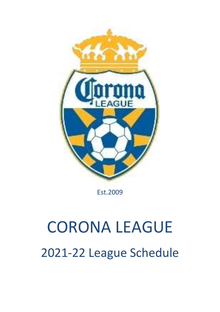

Est.2009

## CORONA LEAGUE 2021-22 League Schedule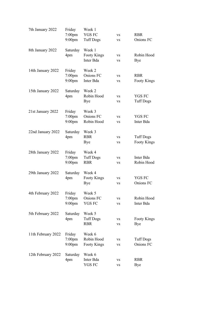| 7th January 2022   | Friday<br>$7:00$ pm | Week 1<br><b>YGS FC</b> | <b>VS</b> | <b>RBR</b>         |
|--------------------|---------------------|-------------------------|-----------|--------------------|
|                    | $9:00$ pm           | <b>Tuff Dogs</b>        | <b>VS</b> | Onions FC          |
| 8th January 2022   | Saturday            | Week 1                  |           |                    |
|                    | 4pm                 | <b>Footy Kings</b>      | <b>VS</b> | Robin Hood         |
|                    |                     | Inter Bda               | <b>VS</b> | Bye                |
| 14th January 2022  | Friday              | Week 2                  |           |                    |
|                    | $7:00$ pm           | Onions FC               | <b>VS</b> | <b>RBR</b>         |
|                    | $9:00$ pm           | Inter Bda               | <b>VS</b> | Footy Kings        |
| 15th January 2022  | Saturday            | Week 2                  |           |                    |
|                    | 4pm                 | Robin Hood              | <b>VS</b> | YGS FC             |
|                    |                     | Bye                     | <b>VS</b> | <b>Tuff Dogs</b>   |
| 21st January 2022  | Friday              | Week 3                  |           |                    |
|                    | $7:00$ pm           | Onions FC               | <b>VS</b> | YGS FC             |
|                    | $9:00$ pm           | Robin Hood              | <b>VS</b> | Inter Bda          |
| 22nd January 2022  | Saturday            | Week 3                  |           |                    |
|                    | 4pm                 | <b>RBR</b>              | VS        | <b>Tuff Dogs</b>   |
|                    |                     | Bye                     | <b>VS</b> | <b>Footy Kings</b> |
| 28th January 2022  | Friday              | Week 4                  |           |                    |
|                    | $7:00$ pm           | <b>Tuff Dogs</b>        | <b>VS</b> | Inter Bda          |
|                    | $9:00$ pm           | <b>RBR</b>              | <b>VS</b> | Robin Hood         |
| 29th January 2022  | Saturday            | Week 4                  |           |                    |
|                    | 4pm                 | Footy Kings             | <b>VS</b> | YGS FC             |
|                    |                     | Bye                     | <b>VS</b> | Onions FC          |
| 4th February 2022  | Friday              | Week 5                  |           |                    |
|                    | $7:00$ pm           | Onions FC               | VS        | Robin Hood         |
|                    | $9:00$ pm           | YGS FC                  | VS        | Inter Bda          |
| 5th February 2022  | Saturday            | Week 5                  |           |                    |
|                    | 4pm                 | <b>Tuff Dogs</b>        | VS        | <b>Footy Kings</b> |
|                    |                     | <b>RBR</b>              | VS        | Bye                |
| 11th February 2022 | Friday              | Week 6                  |           |                    |
|                    | $7:00$ pm           | Robin Hood              | VS        | <b>Tuff Dogs</b>   |
|                    | $9:00$ pm           | <b>Footy Kings</b>      | <b>VS</b> | Onions FC          |
| 12th February 2022 | Saturday            | Week 6                  |           |                    |
|                    | 4pm                 | Inter Bda               | VS        | <b>RBR</b>         |
|                    |                     | YGS FC                  | VS        | Bye                |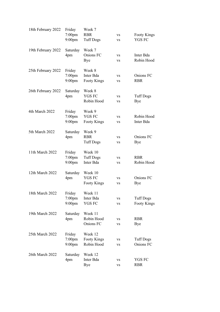| 18th February 2022 | Friday                 | Week 7                         |                        |                                     |
|--------------------|------------------------|--------------------------------|------------------------|-------------------------------------|
|                    | $7:00$ pm<br>$9:00$ pm | <b>RBR</b><br><b>Tuff Dogs</b> | <b>VS</b><br><b>VS</b> | <b>Footy Kings</b><br><b>YGS FC</b> |
|                    |                        |                                |                        |                                     |
| 19th February 2022 | Saturday               | Week 7                         |                        |                                     |
|                    | 4pm                    | Onions FC                      | <b>VS</b>              | Inter Bda                           |
|                    |                        | Bye                            | <b>VS</b>              | Robin Hood                          |
| 25th February 2022 | Friday                 | Week 8                         |                        |                                     |
|                    | $7:00$ pm              | Inter Bda                      | <b>VS</b>              | Onions FC                           |
|                    | $9:00$ pm              | <b>Footy Kings</b>             | <b>VS</b>              | <b>RBR</b>                          |
| 26th February 2022 | Saturday               | Week 8                         |                        |                                     |
|                    | 4pm                    | <b>YGS FC</b>                  | <b>VS</b>              | <b>Tuff Dogs</b>                    |
|                    |                        | Robin Hood                     | <b>VS</b>              | Bye                                 |
| 4th March 2022     | Friday                 | Week 9                         |                        |                                     |
|                    | $7:00$ pm              | <b>YGS FC</b>                  | <b>VS</b>              | Robin Hood                          |
|                    | $9:00$ pm              | <b>Footy Kings</b>             | <b>VS</b>              | Inter Bda                           |
|                    |                        |                                |                        |                                     |
| 5th March 2022     | Saturday               | Week 9                         |                        |                                     |
|                    | 4pm                    | <b>RBR</b>                     | <b>VS</b>              | Onions FC                           |
|                    |                        | <b>Tuff Dogs</b>               | <b>VS</b>              | Bye                                 |
| 11th March 2022    | Friday                 | Week 10                        |                        |                                     |
|                    | $7:00$ pm              | <b>Tuff Dogs</b>               | <b>VS</b>              | <b>RBR</b>                          |
|                    | 9:00 <sub>pm</sub>     | Inter Bda                      | <b>VS</b>              | Robin Hood                          |
| 12th March 2022    | Saturday               | Week 10                        |                        |                                     |
|                    | 4pm                    | <b>YGS FC</b>                  | <b>VS</b>              | Onions FC                           |
|                    |                        | <b>Footy Kings</b>             | <b>VS</b>              | Bye                                 |
| 18th March 2022    | Friday                 | Week 11                        |                        |                                     |
|                    | $7:00$ pm              | Inter Bda                      | <b>VS</b>              | <b>Tuff Dogs</b>                    |
|                    | $9:00$ pm              | YGS FC                         | VS                     | <b>Footy Kings</b>                  |
| 19th March 2022    | Saturday               | Week 11                        |                        |                                     |
|                    | 4pm                    | Robin Hood                     | <b>VS</b>              | <b>RBR</b>                          |
|                    |                        | Onions FC                      | VS                     | Bye                                 |
| 25th March 2022    | Friday                 | Week 12                        |                        |                                     |
|                    | $7:00$ pm              | <b>Footy Kings</b>             | VS                     | <b>Tuff Dogs</b>                    |
|                    | $9:00$ pm              | Robin Hood                     | <b>VS</b>              | Onions FC                           |
| 26th March 2022    |                        | Week 12                        |                        |                                     |
|                    | Saturday<br>4pm        | Inter Bda                      | VS                     | YGS FC                              |
|                    |                        | Bye                            | VS                     | <b>RBR</b>                          |
|                    |                        |                                |                        |                                     |